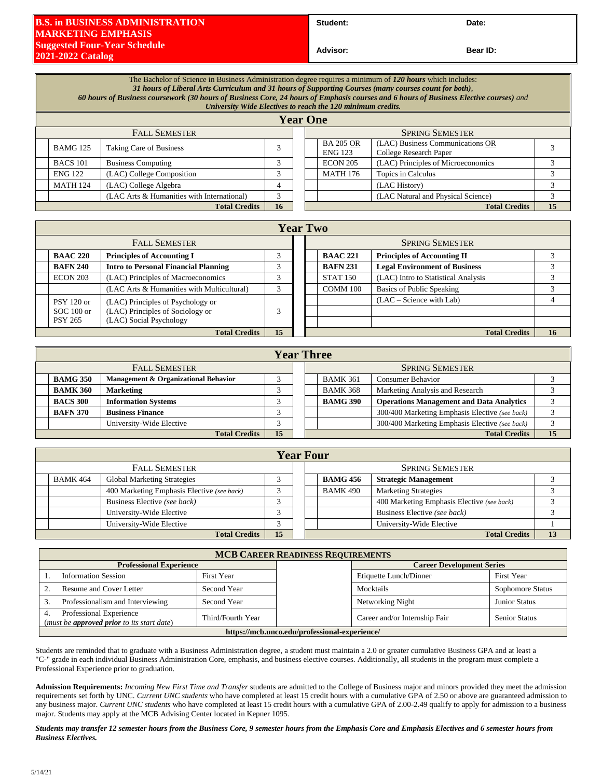## **B.S. in BUSINESS ADMINISTRATION MARKETING EMPHASIS Suggested Four-Year Schedule 2021-2022 Catalog**

Student: Date:

**Advisor: Bear ID:** 

| The Bachelor of Science in Business Administration degree requires a minimum of 120 hours which includes:<br>31 hours of Liberal Arts Curriculum and 31 hours of Supporting Courses (many courses count for both),<br>60 hours of Business coursework (30 hours of Business Core, 24 hours of Emphasis courses and 6 hours of Business Elective courses) and<br>University Wide Electives to reach the 120 minimum credits. |                                            |               |  |                                    |                                                            |    |  |
|-----------------------------------------------------------------------------------------------------------------------------------------------------------------------------------------------------------------------------------------------------------------------------------------------------------------------------------------------------------------------------------------------------------------------------|--------------------------------------------|---------------|--|------------------------------------|------------------------------------------------------------|----|--|
| <b>Year One</b>                                                                                                                                                                                                                                                                                                                                                                                                             |                                            |               |  |                                    |                                                            |    |  |
| <b>FALL SEMESTER</b>                                                                                                                                                                                                                                                                                                                                                                                                        |                                            |               |  | <b>SPRING SEMESTER</b>             |                                                            |    |  |
| <b>BAMG 125</b>                                                                                                                                                                                                                                                                                                                                                                                                             | <b>Taking Care of Business</b>             | 3             |  | <b>BA 205 OR</b><br><b>ENG 123</b> | (LAC) Business Communications OR<br>College Research Paper |    |  |
| <b>BACS 101</b>                                                                                                                                                                                                                                                                                                                                                                                                             | <b>Business Computing</b>                  | $\mathcal{R}$ |  | <b>ECON 205</b>                    | (LAC) Principles of Microeconomics                         | 3  |  |
| <b>ENG 122</b>                                                                                                                                                                                                                                                                                                                                                                                                              | (LAC) College Composition                  | 3             |  | <b>MATH 176</b>                    | Topics in Calculus                                         | 3  |  |
| <b>MATH 124</b>                                                                                                                                                                                                                                                                                                                                                                                                             | (LAC) College Algebra                      | 4             |  |                                    | (LAC History)                                              | 3  |  |
|                                                                                                                                                                                                                                                                                                                                                                                                                             | (LAC Arts & Humanities with International) | 3             |  |                                    | (LAC Natural and Physical Science)                         | 3  |  |
| <b>Total Credits</b>                                                                                                                                                                                                                                                                                                                                                                                                        |                                            |               |  |                                    | <b>Total Credits</b>                                       | 15 |  |

|                      | <b>Year Two</b>                                        |                                             |   |  |  |                            |                                      |    |
|----------------------|--------------------------------------------------------|---------------------------------------------|---|--|--|----------------------------|--------------------------------------|----|
| <b>FALL SEMESTER</b> |                                                        |                                             |   |  |  |                            | <b>SPRING SEMESTER</b>               |    |
|                      | <b>BAAC 220</b>                                        | <b>Principles of Accounting I</b>           | 3 |  |  | <b>BAAC 221</b>            | <b>Principles of Accounting II</b>   |    |
|                      | <b>BAFN 240</b>                                        | <b>Intro to Personal Financial Planning</b> | 3 |  |  | <b>BAFN 231</b>            | <b>Legal Environment of Business</b> |    |
|                      | <b>ECON 203</b>                                        | (LAC) Principles of Macroeconomics          | 3 |  |  | <b>STAT 150</b>            | (LAC) Intro to Statistical Analysis  |    |
|                      |                                                        | (LAC Arts & Humanities with Multicultural)  | 3 |  |  | <b>COMM 100</b>            | Basics of Public Speaking            |    |
|                      | (LAC) Principles of Psychology or<br><b>PSY 120 or</b> |                                             |   |  |  | $(LAC - Science with Lab)$ |                                      |    |
|                      | $SOC 100$ or                                           | (LAC) Principles of Sociology or            | 3 |  |  |                            |                                      |    |
|                      | <b>PSY 265</b>                                         | (LAC) Social Psychology                     |   |  |  |                            |                                      |    |
|                      | <b>Total Credits</b>                                   |                                             |   |  |  |                            | <b>Total Credits</b>                 | 16 |

|                                               | <b>Year Three</b>          |                                      |  |  |                 |                                                 |                                                |  |
|-----------------------------------------------|----------------------------|--------------------------------------|--|--|-----------------|-------------------------------------------------|------------------------------------------------|--|
|                                               | <b>FALL SEMESTER</b>       |                                      |  |  |                 | <b>SPRING SEMESTER</b>                          |                                                |  |
|                                               | <b>BAMG 350</b>            | Management & Organizational Behavior |  |  |                 | <b>BAMK 361</b>                                 | <b>Consumer Behavior</b>                       |  |
|                                               | <b>BAMK 360</b>            | <b>Marketing</b>                     |  |  |                 | <b>BAMK 368</b>                                 | Marketing Analysis and Research                |  |
| <b>BACS 300</b><br><b>Information Systems</b> |                            |                                      |  |  | <b>BAMG 390</b> | <b>Operations Management and Data Analytics</b> |                                                |  |
|                                               | <b>BAFN 370</b>            | <b>Business Finance</b>              |  |  |                 |                                                 | 300/400 Marketing Emphasis Elective (see back) |  |
|                                               |                            | University-Wide Elective             |  |  |                 |                                                 | 300/400 Marketing Emphasis Elective (see back) |  |
|                                               | 15<br><b>Total Credits</b> |                                      |  |  |                 |                                                 | <b>Total Credits</b>                           |  |

|                      | <b>Year Four</b>           |                                            |  |  |                        |                 |                                            |  |  |
|----------------------|----------------------------|--------------------------------------------|--|--|------------------------|-----------------|--------------------------------------------|--|--|
| <b>FALL SEMESTER</b> |                            |                                            |  |  | <b>SPRING SEMESTER</b> |                 |                                            |  |  |
|                      | <b>BAMK 464</b>            | <b>Global Marketing Strategies</b>         |  |  |                        | <b>BAMG 456</b> | <b>Strategic Management</b>                |  |  |
|                      |                            | 400 Marketing Emphasis Elective (see back) |  |  |                        | <b>BAMK 490</b> | <b>Marketing Strategies</b>                |  |  |
|                      |                            | Business Elective (see back)               |  |  |                        |                 | 400 Marketing Emphasis Elective (see back) |  |  |
|                      |                            | University-Wide Elective                   |  |  |                        |                 | Business Elective (see back)               |  |  |
|                      |                            | University-Wide Elective                   |  |  |                        |                 | University-Wide Elective                   |  |  |
|                      | 15<br><b>Total Credits</b> |                                            |  |  |                        |                 | <b>Total Credits</b>                       |  |  |

| <b>MCB CAREER READINESS REQUIREMENTS</b>                                           |                   |                                  |                               |                      |  |  |
|------------------------------------------------------------------------------------|-------------------|----------------------------------|-------------------------------|----------------------|--|--|
| <b>Professional Experience</b>                                                     |                   | <b>Career Development Series</b> |                               |                      |  |  |
| <b>Information Session</b>                                                         | First Year        |                                  | Etiquette Lunch/Dinner        | First Year           |  |  |
| Resume and Cover Letter<br>Second Year                                             |                   |                                  | Mocktails                     | Sophomore Status     |  |  |
| Professionalism and Interviewing<br>Second Year                                    |                   |                                  | Networking Night              | <b>Junior Status</b> |  |  |
| Professional Experience<br>4.<br>(must be <b>approved prior</b> to its start date) | Third/Fourth Year |                                  | Career and/or Internship Fair | <b>Senior Status</b> |  |  |
| https://mcb.unco.edu/professional-experience/                                      |                   |                                  |                               |                      |  |  |

Students are reminded that to graduate with a Business Administration degree, a student must maintain a 2.0 or greater cumulative Business GPA and at least a "C-" grade in each individual Business Administration Core, emphasis, and business elective courses. Additionally, all students in the program must complete a Professional Experience prior to graduation.

**Admission Requirements:** *Incoming New First Time and Transfer* students are admitted to the College of Business major and minors provided they meet the admission requirements set forth by UNC. *Current UNC students* who have completed at least 15 credit hours with a cumulative GPA of 2.50 or above are guaranteed admission to any business major. *Current UNC students* who have completed at least 15 credit hours with a cumulative GPA of 2.00-2.49 qualify to apply for admission to a business major. Students may apply at the MCB Advising Center located in Kepner 1095.

*Students may transfer 12 semester hours from the Business Core, 9 semester hours from the Emphasis Core and Emphasis Electives and 6 semester hours from Business Electives.*